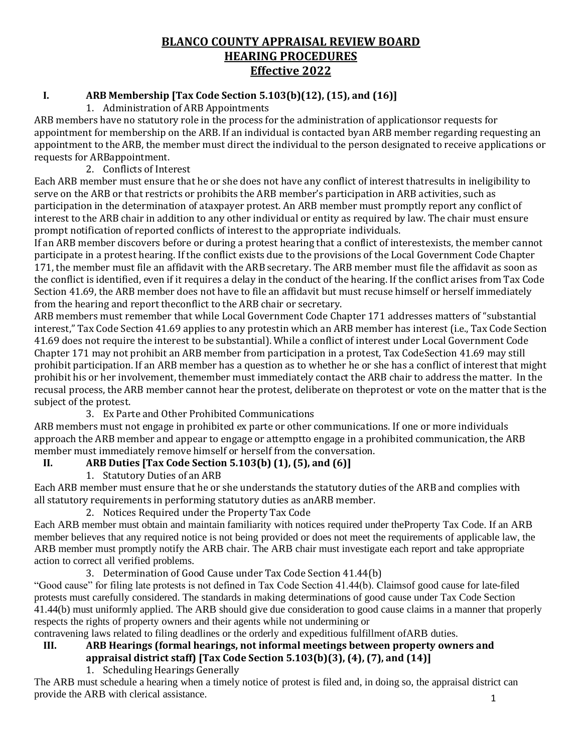# **BLANCO COUNTY APPRAISAL REVIEW BOARD HEARING PROCEDURES Effective 2022**

#### **I. ARB Membership [Tax Code Section 5.103(b)(12), (15), and (16)]**

#### 1. Administration of ARB Appointments

ARB members have no statutory role in the process for the administration of applicationsor requests for appointment for membership on the ARB. If an individual is contacted byan ARB member regarding requesting an appointment to the ARB, the member must direct the individual to the person designated to receive applications or requests for ARBappointment.

#### 2. Conflicts of Interest

Each ARB member must ensure that he or she does not have any conflict of interest thatresults in ineligibility to serve on the ARB or that restricts or prohibits the ARB member's participation in ARB activities, such as participation in the determination of ataxpayer protest. An ARB member must promptly report any conflict of interest to the ARB chair in addition to any other individual or entity as required by law. The chair must ensure prompt notification of reported conflicts of interest to the appropriate individuals.

If an ARB member discovers before or during a protest hearing that a conflict of interestexists, the member cannot participate in a protest hearing. If the conflict exists due to the provisions of the Local Government Code Chapter 171, the member must file an affidavit with the ARB secretary. The ARB member must file the affidavit as soon as the conflict is identified, even if it requires a delay in the conduct of the hearing. If the conflict arises from Tax Code Section 41.69, the ARB member does not have to file an affidavit but must recuse himself or herself immediately from the hearing and report theconflict to the ARB chair or secretary.

ARB members must remember that while Local Government Code Chapter 171 addresses matters of "substantial interest," Tax Code Section 41.69 applies to any protestin which an ARB member has interest (i.e., Tax Code Section 41.69 does not require the interest to be substantial). While a conflict of interest under Local Government Code Chapter 171 may not prohibit an ARB member from participation in a protest, Tax CodeSection 41.69 may still prohibit participation. If an ARB member has a question as to whether he or she has a conflict of interest that might prohibit his or her involvement, themember must immediately contact the ARB chair to address the matter. In the recusal process, the ARB member cannot hear the protest, deliberate on theprotest or vote on the matter that is the subject of the protest.

## 3. Ex Parte and Other Prohibited Communications

ARB members must not engage in prohibited ex parte or other communications. If one or more individuals approach the ARB member and appear to engage or attemptto engage in a prohibited communication, the ARB member must immediately remove himself or herself from the conversation.

## **II. ARB Duties [Tax Code Section 5.103(b) (1), (5), and (6)]**

1. Statutory Duties of an ARB

Each ARB member must ensure that he or she understands the statutory duties of the ARB and complies with all statutory requirements in performing statutory duties as anARB member.

2. Notices Required under the Property Tax Code

Each ARB member must obtain and maintain familiarity with notices required under theProperty Tax Code. If an ARB member believes that any required notice is not being provided or does not meet the requirements of applicable law, the ARB member must promptly notify the ARB chair. The ARB chair must investigate each report and take appropriate action to correct all verified problems.

## 3. Determination of Good Cause under Tax Code Section 41.44(b)

"Good cause" for filing late protests is not defined in Tax Code Section 41.44(b). Claimsof good cause for late-filed protests must carefully considered. The standards in making determinations of good cause under Tax Code Section 41.44(b) must uniformly applied. The ARB should give due consideration to good cause claims in a manner that properly respects the rights of property owners and their agents while not undermining or

contravening laws related to filing deadlines or the orderly and expeditious fulfillment ofARB duties.

## **III. ARB Hearings (formal hearings, not informal meetings between property owners and appraisal district staff) [Tax Code Section 5.103(b)(3), (4), (7), and (14)]**

1. Scheduling Hearings Generally

The ARB must schedule a hearing when a timely notice of protest is filed and, in doing so, the appraisal district can provide the ARB with clerical assistance.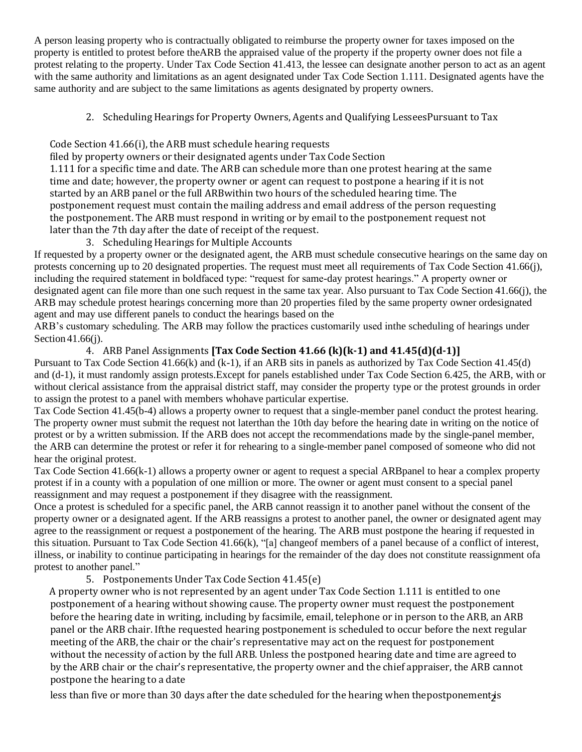A person leasing property who is contractually obligated to reimburse the property owner for taxes imposed on the property is entitled to protest before theARB the appraised value of the property if the property owner does not file a protest relating to the property. Under Tax Code Section 41.413, the lessee can designate another person to act as an agent with the same authority and limitations as an agent designated under Tax Code Section 1.111. Designated agents have the same authority and are subject to the same limitations as agents designated by property owners.

2. Scheduling Hearings for Property Owners, Agents and Qualifying LesseesPursuant to Tax

Code Section 41.66(i), the ARB must schedule hearing requests

filed by property owners or their designated agents under Tax Code Section

1.111 for a specific time and date. The ARB can schedule more than one protest hearing at the same time and date; however, the property owner or agent can request to postpone a hearing if it is not started by an ARB panel or the full ARBwithin two hours of the scheduled hearing time. The postponement request must contain the mailing address and email address of the person requesting the postponement. The ARB must respond in writing or by email to the postponement request not later than the 7th day after the date of receipt of the request.

3. Scheduling Hearings for Multiple Accounts

If requested by a property owner or the designated agent, the ARB must schedule consecutive hearings on the same day on protests concerning up to 20 designated properties. The request must meet all requirements of Tax Code Section 41.66(j), including the required statement in boldfaced type: "request for same-day protest hearings." A property owner or designated agent can file more than one such request in the same tax year. Also pursuant to Tax Code Section 41.66(j), the ARB may schedule protest hearings concerning more than 20 properties filed by the same property owner ordesignated agent and may use different panels to conduct the hearings based on the

ARB's customary scheduling. The ARB may follow the practices customarily used inthe scheduling of hearings under Section 41.66(*i*).

4. ARB Panel Assignments **[Tax Code Section 41.66 (k)(k-1) and 41.45(d)(d-1)]**

Pursuant to Tax Code Section 41.66(k) and (k-1), if an ARB sits in panels as authorized by Tax Code Section 41.45(d) and (d-1), it must randomly assign protests.Except for panels established under Tax Code Section 6.425, the ARB, with or without clerical assistance from the appraisal district staff, may consider the property type or the protest grounds in order to assign the protest to a panel with members whohave particular expertise.

Tax Code Section 41.45(b-4) allows a property owner to request that a single-member panel conduct the protest hearing. The property owner must submit the request not laterthan the 10th day before the hearing date in writing on the notice of protest or by a written submission. If the ARB does not accept the recommendations made by the single-panel member, the ARB can determine the protest or refer it for rehearing to a single-member panel composed of someone who did not hear the original protest.

Tax Code Section 41.66(k-1) allows a property owner or agent to request a special ARBpanel to hear a complex property protest if in a county with a population of one million or more. The owner or agent must consent to a special panel reassignment and may request a postponement if they disagree with the reassignment.

Once a protest is scheduled for a specific panel, the ARB cannot reassign it to another panel without the consent of the property owner or a designated agent. If the ARB reassigns a protest to another panel, the owner or designated agent may agree to the reassignment or request a postponement of the hearing. The ARB must postpone the hearing if requested in this situation. Pursuant to Tax Code Section 41.66(k), "[a] changeof members of a panel because of a conflict of interest, illness, or inability to continue participating in hearings for the remainder of the day does not constitute reassignment ofa protest to another panel."

5. Postponements Under Tax Code Section 41.45(e)

A property owner who is not represented by an agent under Tax Code Section 1.111 is entitled to one postponement of a hearing without showing cause. The property owner must request the postponement before the hearing date in writing, including by facsimile, email, telephone or in person to the ARB, an ARB panel or the ARB chair. Ifthe requested hearing postponement is scheduled to occur before the next regular meeting of the ARB, the chair or the chair's representative may act on the request for postponement without the necessity of action by the full ARB. Unless the postponed hearing date and time are agreed to by the ARB chair or the chair's representative, the property owner and the chief appraiser, the ARB cannot postpone the hearing to a date

less than five or more than 30 days after the date scheduled for the hearing when thepostponement<mark><sub>2</sub>i</mark>s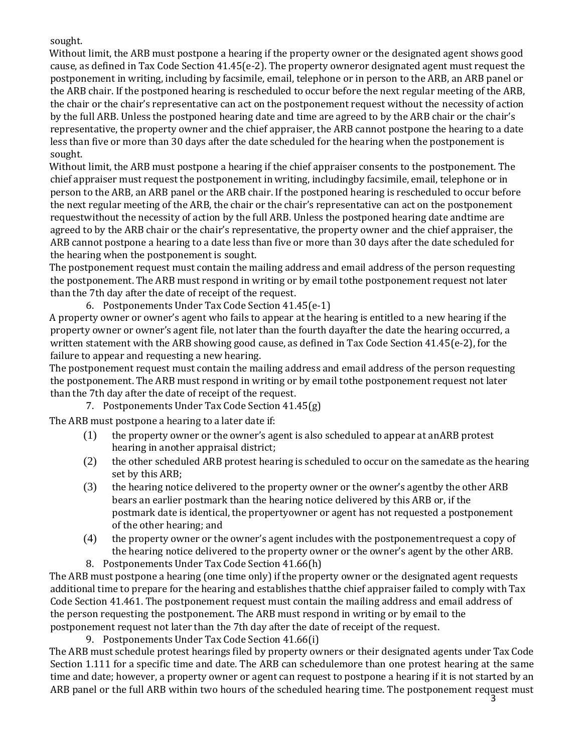sought.

Without limit, the ARB must postpone a hearing if the property owner or the designated agent shows good cause, as defined in Tax Code Section 41.45(e-2). The property owneror designated agent must request the postponement in writing, including by facsimile, email, telephone or in person to the ARB, an ARB panel or the ARB chair. If the postponed hearing is rescheduled to occur before the next regular meeting of the ARB, the chair or the chair's representative can act on the postponement request without the necessity of action by the full ARB. Unless the postponed hearing date and time are agreed to by the ARB chair or the chair's representative, the property owner and the chief appraiser, the ARB cannot postpone the hearing to a date less than five or more than 30 days after the date scheduled for the hearing when the postponement is sought.

Without limit, the ARB must postpone a hearing if the chief appraiser consents to the postponement. The chief appraiser must request the postponement in writing, includingby facsimile, email, telephone or in person to the ARB, an ARB panel or the ARB chair. If the postponed hearing is rescheduled to occur before the next regular meeting of the ARB, the chair or the chair's representative can act on the postponement requestwithout the necessity of action by the full ARB. Unless the postponed hearing date andtime are agreed to by the ARB chair or the chair's representative, the property owner and the chief appraiser, the ARB cannot postpone a hearing to a date less than five or more than 30 days after the date scheduled for the hearing when the postponement is sought.

The postponement request must contain the mailing address and email address of the person requesting the postponement. The ARB must respond in writing or by email tothe postponement request not later than the 7th day after the date of receipt of the request.

6. Postponements Under Tax Code Section 41.45(e-1)

A property owner or owner's agent who fails to appear at the hearing is entitled to a new hearing if the property owner or owner's agent file, not later than the fourth dayafter the date the hearing occurred, a written statement with the ARB showing good cause, as defined in Tax Code Section 41.45(e-2), for the failure to appear and requesting a new hearing.

The postponement request must contain the mailing address and email address of the person requesting the postponement. The ARB must respond in writing or by email tothe postponement request not later than the 7th day after the date of receipt of the request.

7. Postponements Under Tax Code Section 41.45(g)

The ARB must postpone a hearing to a later date if:

- (1) the property owner or the owner's agent is also scheduled to appear at anARB protest hearing in another appraisal district;
- (2) the other scheduled ARB protest hearing is scheduled to occur on the samedate as the hearing set by this ARB;
- (3) the hearing notice delivered to the property owner or the owner's agentby the other ARB bears an earlier postmark than the hearing notice delivered by this ARB or, if the postmark date is identical, the propertyowner or agent has not requested a postponement of the other hearing; and
- (4) the property owner or the owner's agent includes with the postponementrequest a copy of the hearing notice delivered to the property owner or the owner's agent by the other ARB.
- 8. Postponements Under Tax Code Section 41.66(h)

The ARB must postpone a hearing (one time only) if the property owner or the designated agent requests additional time to prepare for the hearing and establishes thatthe chief appraiser failed to comply with Tax Code Section 41.461. The postponement request must contain the mailing address and email address of the person requesting the postponement. The ARB must respond in writing or by email to the postponement request not later than the 7th day after the date of receipt of the request.

9. Postponements Under Tax Code Section 41.66(i)

The ARB must schedule protest hearings filed by property owners or their designated agents under Tax Code Section 1.111 for a specific time and date. The ARB can schedulemore than one protest hearing at the same time and date; however, a property owner or agent can request to postpone a hearing if it is not started by an ARB panel or the full ARB within two hours of the scheduled hearing time. The postponement request must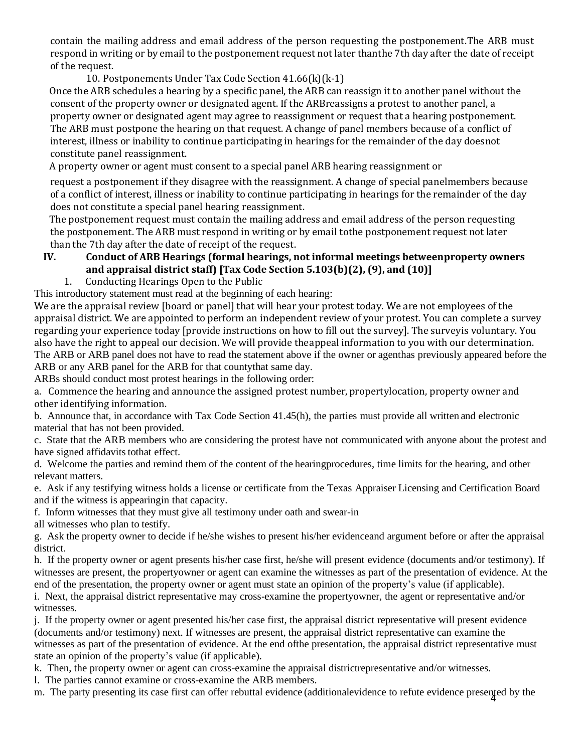contain the mailing address and email address of the person requesting the postponement.The ARB must respond in writing or by email to the postponement request not later thanthe 7th day after the date of receipt of the request.

10. Postponements Under Tax Code Section 41.66(k)(k-1)

Once the ARB schedules a hearing by a specific panel, the ARB can reassign it to another panel without the consent of the property owner or designated agent. If the ARBreassigns a protest to another panel, a property owner or designated agent may agree to reassignment or request that a hearing postponement. The ARB must postpone the hearing on that request. A change of panel members because of a conflict of interest, illness or inability to continue participating in hearings for the remainder of the day doesnot constitute panel reassignment.

A property owner or agent must consent to a special panel ARB hearing reassignment or

request a postponement if they disagree with the reassignment. A change of special panelmembers because of a conflict of interest, illness or inability to continue participating in hearings for the remainder of the day does not constitute a special panel hearing reassignment.

The postponement request must contain the mailing address and email address of the person requesting the postponement. The ARB must respond in writing or by email tothe postponement request not later than the 7th day after the date of receipt of the request.

## **IV. Conduct of ARB Hearings (formal hearings, not informal meetings betweenproperty owners and appraisal district staff) [Tax Code Section 5.103(b)(2), (9), and (10)]**

1. Conducting Hearings Open to the Public

This introductory statement must read at the beginning of each hearing:

We are the appraisal review [board or panel] that will hear your protest today. We are not employees of the appraisal district. We are appointed to perform an independent review of your protest. You can complete a survey regarding your experience today [provide instructions on how to fill out the survey]. The surveyis voluntary. You also have the right to appeal our decision. We will provide theappeal information to you with our determination. The ARB or ARB panel does not have to read the statement above if the owner or agenthas previously appeared before the ARB or any ARB panel for the ARB for that countythat same day.

ARBs should conduct most protest hearings in the following order:

a. Commence the hearing and announce the assigned protest number, propertylocation, property owner and other identifying information.

b. Announce that, in accordance with Tax Code Section 41.45(h), the parties must provide all written and electronic material that has not been provided.

c. State that the ARB members who are considering the protest have not communicated with anyone about the protest and have signed affidavits to that effect.

d. Welcome the parties and remind them of the content of the hearingprocedures, time limits for the hearing, and other relevant matters.

e. Ask if any testifying witness holds a license or certificate from the Texas Appraiser Licensing and Certification Board and if the witness is appearingin that capacity.

f. Inform witnesses that they must give all testimony under oath and swear-in

all witnesses who plan to testify.

g. Ask the property owner to decide if he/she wishes to present his/her evidenceand argument before or after the appraisal district.

h. If the property owner or agent presents his/her case first, he/she will present evidence (documents and/or testimony). If witnesses are present, the propertyowner or agent can examine the witnesses as part of the presentation of evidence. At the end of the presentation, the property owner or agent must state an opinion of the property's value (if applicable).

i. Next, the appraisal district representative may cross-examine the propertyowner, the agent or representative and/or witnesses.

j. If the property owner or agent presented his/her case first, the appraisal district representative will present evidence (documents and/or testimony) next. If witnesses are present, the appraisal district representative can examine the witnesses as part of the presentation of evidence. At the end ofthe presentation, the appraisal district representative must state an opinion of the property's value (if applicable).

k. Then, the property owner or agent can cross-examine the appraisal districtrepresentative and/or witnesses.

l. The parties cannot examine or cross-examine the ARB members.

4 m. The party presenting its case first can offer rebuttal evidence (additionalevidence to refute evidence presented by the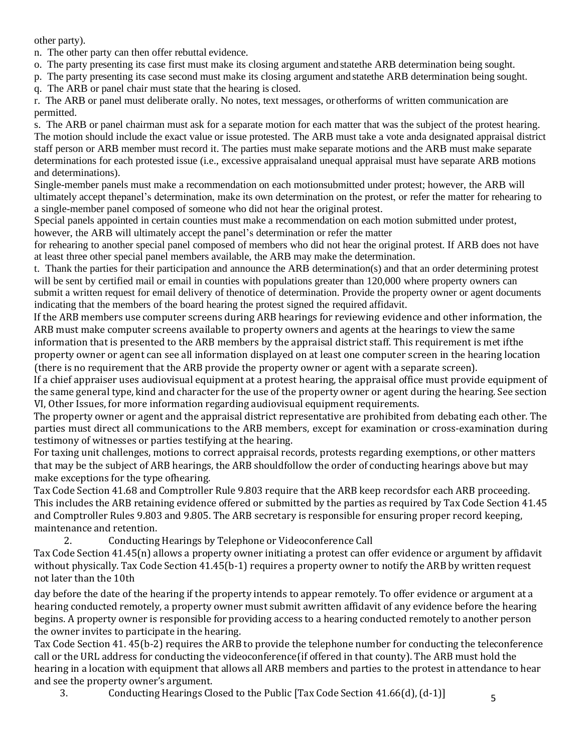other party).

n. The other party can then offer rebuttal evidence.

o. The party presenting its case first must make its closing argument and statethe ARB determination being sought.

p. The party presenting its case second must make its closing argument and statethe ARB determination being sought.

q. The ARB or panel chair must state that the hearing is closed.

r. The ARB or panel must deliberate orally. No notes, text messages, or otherforms of written communication are permitted.

s. The ARB or panel chairman must ask for a separate motion for each matter that was the subject of the protest hearing. The motion should include the exact value or issue protested. The ARB must take a vote anda designated appraisal district staff person or ARB member must record it. The parties must make separate motions and the ARB must make separate determinations for each protested issue (i.e., excessive appraisaland unequal appraisal must have separate ARB motions and determinations).

Single-member panels must make a recommendation on each motionsubmitted under protest; however, the ARB will ultimately accept thepanel's determination, make its own determination on the protest, or refer the matter for rehearing to a single-member panel composed of someone who did not hear the original protest.

Special panels appointed in certain counties must make a recommendation on each motion submitted under protest, however, the ARB will ultimately accept the panel's determination or refer the matter

for rehearing to another special panel composed of members who did not hear the original protest. If ARB does not have at least three other special panel members available, the ARB may make the determination.

t. Thank the parties for their participation and announce the ARB determination(s) and that an order determining protest will be sent by certified mail or email in counties with populations greater than 120,000 where property owners can submit a written request for email delivery of thenotice of determination. Provide the property owner or agent documents indicating that the members of the board hearing the protest signed the required affidavit.

If the ARB members use computer screens during ARB hearings for reviewing evidence and other information, the ARB must make computer screens available to property owners and agents at the hearings to view the same information that is presented to the ARB members by the appraisal district staff. This requirement is met ifthe property owner or agent can see all information displayed on at least one computer screen in the hearing location (there is no requirement that the ARB provide the property owner or agent with a separate screen).

If a chief appraiser uses audiovisual equipment at a protest hearing, the appraisal office must provide equipment of the same general type, kind and character for the use of the property owner or agent during the hearing. See section VI, Other Issues, for more information regarding audiovisual equipment requirements.

The property owner or agent and the appraisal district representative are prohibited from debating each other. The parties must direct all communications to the ARB members, except for examination or cross-examination during testimony of witnesses or parties testifying at the hearing.

For taxing unit challenges, motions to correct appraisal records, protests regarding exemptions, or other matters that may be the subject of ARB hearings, the ARB shouldfollow the order of conducting hearings above but may make exceptions for the type ofhearing.

Tax Code Section 41.68 and Comptroller Rule 9.803 require that the ARB keep recordsfor each ARB proceeding. This includes the ARB retaining evidence offered or submitted by the parties as required by Tax Code Section 41.45 and Comptroller Rules 9.803 and 9.805. The ARB secretary is responsible for ensuring proper record keeping, maintenance and retention.

2. Conducting Hearings by Telephone or Videoconference Call Tax Code Section 41.45(n) allows a property owner initiating a protest can offer evidence or argument by affidavit without physically. Tax Code Section 41.45(b-1) requires a property owner to notify the ARB by written request not later than the 10th

day before the date of the hearing if the property intends to appear remotely. To offer evidence or argument at a hearing conducted remotely, a property owner must submit awritten affidavit of any evidence before the hearing begins. A property owner is responsible for providing access to a hearing conducted remotely to another person the owner invites to participate in the hearing.

Tax Code Section 41. 45(b-2) requires the ARB to provide the telephone number for conducting the teleconference call or the URL address for conducting the videoconference(if offered in that county). The ARB must hold the hearing in a location with equipment that allows all ARB members and parties to the protest in attendance to hear and see the property owner's argument.

3. Conducting Hearings Closed to the Public [Tax Code Section 41.66(d), (d-1)]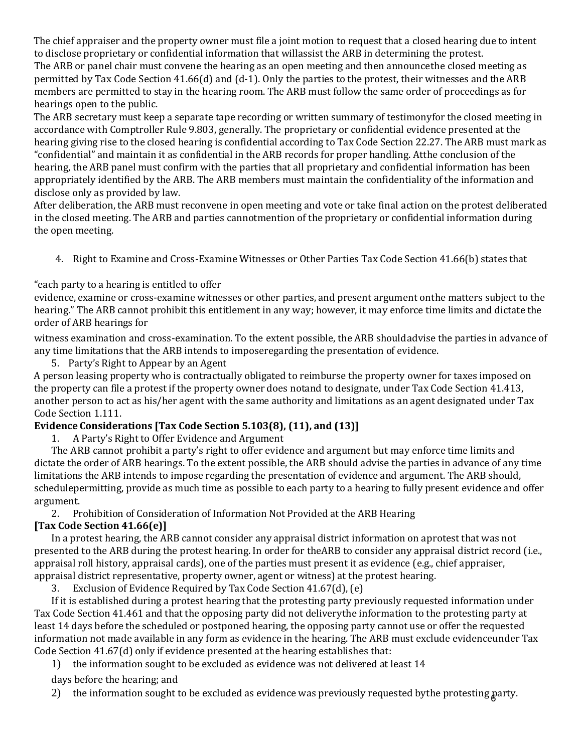The chief appraiser and the property owner must file a joint motion to request that a closed hearing due to intent to disclose proprietary or confidential information that willassist the ARB in determining the protest.

The ARB or panel chair must convene the hearing as an open meeting and then announcethe closed meeting as permitted by Tax Code Section 41.66(d) and (d-1). Only the parties to the protest, their witnesses and the ARB members are permitted to stay in the hearing room. The ARB must follow the same order of proceedings as for hearings open to the public.

The ARB secretary must keep a separate tape recording or written summary of testimonyfor the closed meeting in accordance with Comptroller Rule 9.803, generally. The proprietary or confidential evidence presented at the hearing giving rise to the closed hearing is confidential according to Tax Code Section 22.27. The ARB must mark as "confidential" and maintain it as confidential in the ARB records for proper handling. Atthe conclusion of the hearing, the ARB panel must confirm with the parties that all proprietary and confidential information has been appropriately identified by the ARB. The ARB members must maintain the confidentiality of the information and disclose only as provided by law.

After deliberation, the ARB must reconvene in open meeting and vote or take final action on the protest deliberated in the closed meeting. The ARB and parties cannotmention of the proprietary or confidential information during the open meeting.

4. Right to Examine and Cross-Examine Witnesses or Other Parties Tax Code Section 41.66(b) states that

"each party to a hearing is entitled to offer

evidence, examine or cross-examine witnesses or other parties, and present argument onthe matters subject to the hearing." The ARB cannot prohibit this entitlement in any way; however, it may enforce time limits and dictate the order of ARB hearings for

witness examination and cross-examination. To the extent possible, the ARB shouldadvise the parties in advance of any time limitations that the ARB intends to imposeregarding the presentation of evidence.

5. Party's Right to Appear by an Agent

A person leasing property who is contractually obligated to reimburse the property owner for taxes imposed on the property can file a protest if the property owner does notand to designate, under Tax Code Section 41.413, another person to act as his/her agent with the same authority and limitations as an agent designated under Tax Code Section 1.111.

## **V. Evidence Considerations [Tax Code Section 5.103(8), (11), and (13)]**

1. A Party's Right to Offer Evidence and Argument

The ARB cannot prohibit a party's right to offer evidence and argument but may enforce time limits and dictate the order of ARB hearings. To the extent possible, the ARB should advise the parties in advance of any time limitations the ARB intends to impose regarding the presentation of evidence and argument. The ARB should, schedulepermitting, provide as much time as possible to each party to a hearing to fully present evidence and offer argument.

2. Prohibition of Consideration of Information Not Provided at the ARB Hearing **[Tax Code Section 41.66(e)]**

In a protest hearing, the ARB cannot consider any appraisal district information on aprotest that was not presented to the ARB during the protest hearing. In order for theARB to consider any appraisal district record (i.e., appraisal roll history, appraisal cards), one of the parties must present it as evidence (e.g., chief appraiser, appraisal district representative, property owner, agent or witness) at the protest hearing.

3. Exclusion of Evidence Required by Tax Code Section 41.67(d), (e)

If it is established during a protest hearing that the protesting party previously requested information under Tax Code Section 41.461 and that the opposing party did not deliverythe information to the protesting party at least 14 days before the scheduled or postponed hearing, the opposing party cannot use or offer the requested information not made available in any form as evidence in the hearing. The ARB must exclude evidenceunder Tax Code Section 41.67(d) only if evidence presented at the hearing establishes that:

1) the information sought to be excluded as evidence was not delivered at least 14

days before the hearing; and

6 2) the information sought to be excluded as evidence was previously requested bythe protesting party.